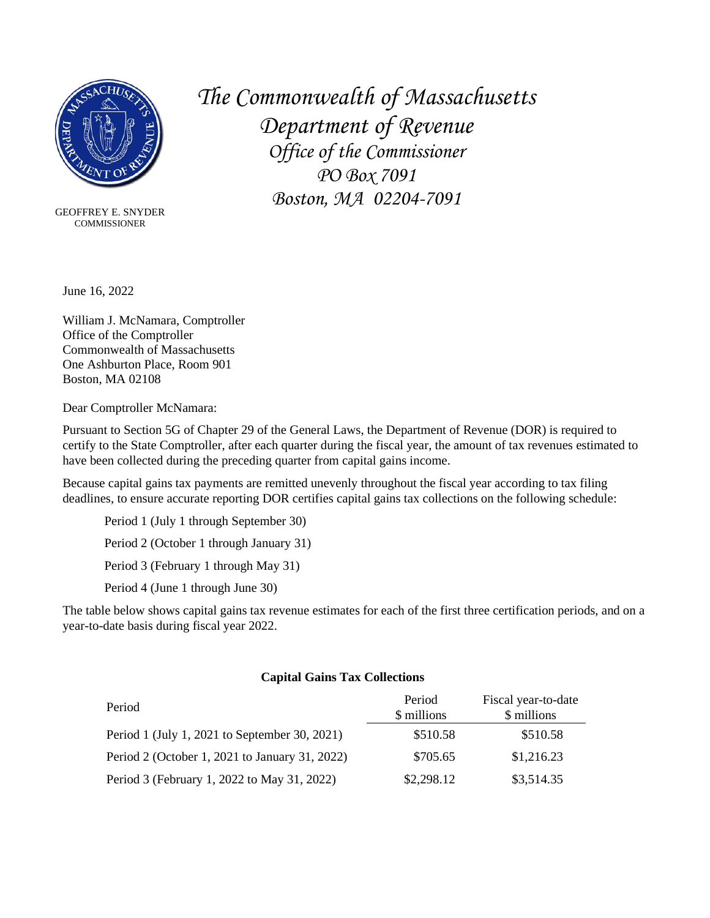

 COMMISSIONERGEOFFREY E. SNYDER *The Commonwealth of Massachusetts Department of Revenue Office of the Commissioner PO Box 7091 Boston, MA 02204-7091*

June 16, 2022

[William J. McNamara,](https://www.macomptroller.org/) Comptroller Office of the Comptroller Commonwealth of Massachusetts One Ashburton Place, Room 901 Boston, MA 02108

Dear Comptroller McNamara:

Pursuant to Section 5G of Chapter 29 of the General Laws, the Department of Revenue (DOR) is required to certify to the State Comptroller, after each quarter during the fiscal year, the amount of tax revenues estimated to have been collected during the preceding quarter from capital gains income.

Because capital gains tax payments are remitted unevenly throughout the fiscal year according to tax filing deadlines, to ensure accurate reporting DOR certifies capital gains tax collections on the following schedule:

Period 1 (July 1 through September 30) Period 2 (October 1 through January 31) Period 3 (February 1 through May 31) Period 4 (June 1 through June 30)

The table below shows capital gains tax revenue estimates for each of the first three certification periods, and on a year-to-date basis during fiscal year 2022.

## **Capital Gains Tax Collections**

| Period                                         | Period<br>\$ millions | Fiscal year-to-date<br>\$ millions |
|------------------------------------------------|-----------------------|------------------------------------|
| Period 1 (July 1, 2021 to September 30, 2021)  | \$510.58              | \$510.58                           |
| Period 2 (October 1, 2021 to January 31, 2022) | \$705.65              | \$1,216.23                         |
| Period 3 (February 1, 2022 to May 31, 2022)    | \$2,298.12            | \$3,514.35                         |